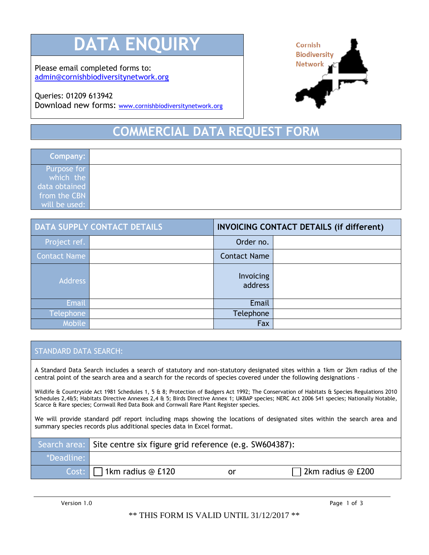# **DATA ENOU**

Please email completed forms to: [admin@cornishbiodiversitynetwork.org](mailto:admin@cornishbiodiversitynetwork.org)

### Queries: 01209 613942

Download new forms: [www.cornishbiodiversitynetwork.org](http://www.cornishbiodiversitynetwork.org/)



## **COMMERCIAL DATA REQUEST**

| Company:      |  |
|---------------|--|
| Purpose for   |  |
| which the     |  |
| data obtained |  |
| from the CBN  |  |
| will be used: |  |

| <b>DATA SUPPLY CONTACT DETAILS</b> |  | <b>INVOICING CONTACT DETAILS (if different)</b> |  |
|------------------------------------|--|-------------------------------------------------|--|
| Project ref.                       |  | Order no.                                       |  |
| <b>Contact Name</b>                |  | <b>Contact Name</b>                             |  |
| <b>Address</b>                     |  | Invoicing<br>address                            |  |
| <b>Email</b>                       |  | Email                                           |  |
| Telephone                          |  | Telephone                                       |  |
| Mobile <sup>1</sup>                |  | Fax                                             |  |

#### STANDARD DATA SEARCH:

A Standard Data Search includes a search of statutory and non-statutory designated sites within a 1km or 2km radius of the central point of the search area and a search for the records of species covered under the following designations -

Wildlife & Countryside Act 1981 Schedules 1, 5 & 8; Protection of Badgers Act 1992; The Conservation of Habitats & Species Regulations 2010 Schedules 2,4&5; Habitats Directive Annexes 2,4 & 5; Birds Directive Annex 1; UKBAP species; NERC Act 2006 S41 species; Nationally Notable, Scarce & Rare species; Cornwall Red Data Book and Cornwall Rare Plant Register species.

We will provide standard pdf report including maps showing the locations of designated sites within the search area and summary species records plus additional species data in Excel format.

|            | Search area: Site centre six figure grid reference (e.g. SW604387): |    |                          |
|------------|---------------------------------------------------------------------|----|--------------------------|
| *Deadline: |                                                                     |    |                          |
|            | Cost: $\Box$ 1km radius @ £120                                      | or | $\Box$ 2km radius @ £200 |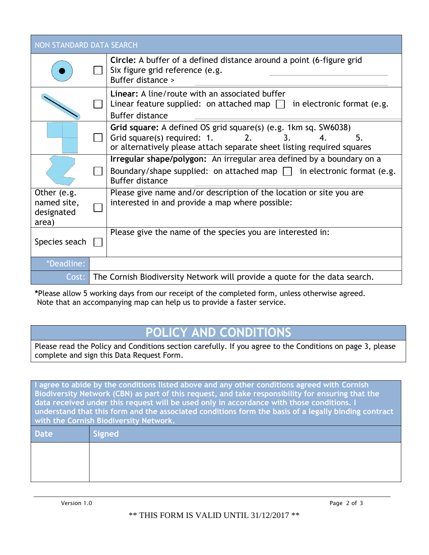| NON STANDARD DATA SEARCH           |  |                                                                                                                                                                                                 |  |  |
|------------------------------------|--|-------------------------------------------------------------------------------------------------------------------------------------------------------------------------------------------------|--|--|
|                                    |  | <b>Circle:</b> A buffer of a defined distance around a point (6-figure grid<br>Six figure grid reference (e.g.<br>Buffer distance >                                                             |  |  |
|                                    |  | <b>Linear:</b> A line/route with an associated buffer<br>Linear feature supplied: on attached map $\Box$ in electronic format (e.g.<br><b>Buffer distance</b>                                   |  |  |
|                                    |  | Grid square: A defined OS grid square(s) (e.g. 1km sq. SW6038)<br>Grid square(s) required: 1.<br>2.<br>5.<br>3.<br>4.<br>or alternatively please attach separate sheet listing required squares |  |  |
|                                    |  | Irregular shape/polygon: An irregular area defined by a boundary on a                                                                                                                           |  |  |
|                                    |  | Boundary/shape supplied: on attached map $\Box$ in electronic format (e.g.<br><b>Buffer distance</b>                                                                                            |  |  |
| Other (e.g.                        |  | Please give name and/or description of the location or site you are                                                                                                                             |  |  |
| named site,<br>designated<br>area) |  | interested in and provide a map where possible:                                                                                                                                                 |  |  |
| Species seach                      |  | Please give the name of the species you are interested in:                                                                                                                                      |  |  |
|                                    |  |                                                                                                                                                                                                 |  |  |
| *Deadline:                         |  |                                                                                                                                                                                                 |  |  |
| Cost:                              |  | The Cornish Biodiversity Network will provide a quote for the data search.                                                                                                                      |  |  |

**\***Please allow 5 working days from our receipt of the completed form, unless otherwise agreed. Note that an accompanying map can help us to provide a faster service.

### **POLICY AND CONDITIONS**

Please read the Policy and Conditions section carefully. If you agree to the Conditions on page 3, please complete and sign this Data Request Form.

**I agree to abide by the conditions listed above and any other conditions agreed with Cornish Biodiversity Network (CBN) as part of this request, and take responsibility for ensuring that the data received under this request will be used only in accordance with those conditions. I understand that this form and the associated conditions form the basis of a legally binding contract with the Cornish Biodiversity Network.**

| Date | Signed |
|------|--------|
|      |        |
|      |        |
|      |        |